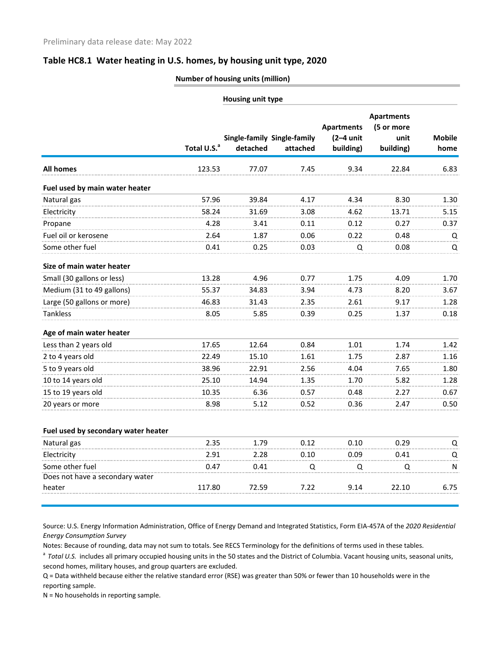## **Table HC8.1 Water heating in U.S. homes, by housing unit type, 2020**

## **Number of housing units (million)**

|                                     |                         | <b>Housing unit type</b> |                                         |                                               |                                                      |                       |  |  |
|-------------------------------------|-------------------------|--------------------------|-----------------------------------------|-----------------------------------------------|------------------------------------------------------|-----------------------|--|--|
|                                     | Total U.S. <sup>a</sup> | detached                 | Single-family Single-family<br>attached | <b>Apartments</b><br>$(2-4$ unit<br>building) | <b>Apartments</b><br>(5 or more<br>unit<br>building) | <b>Mobile</b><br>home |  |  |
| <b>All homes</b>                    | 123.53                  | 77.07                    | 7.45                                    | 9.34                                          | 22.84                                                | 6.83                  |  |  |
| Fuel used by main water heater      |                         |                          |                                         |                                               |                                                      |                       |  |  |
| Natural gas                         | 57.96                   | 39.84                    | 4.17                                    | 4.34                                          | 8.30                                                 | 1.30                  |  |  |
| Electricity                         | 58.24                   | 31.69                    | 3.08                                    | 4.62                                          | 13.71                                                | 5.15                  |  |  |
| Propane                             | 4.28                    | 3.41                     | 0.11                                    | 0.12                                          | 0.27                                                 | 0.37                  |  |  |
| Fuel oil or kerosene                | 2.64                    | 1.87                     | 0.06                                    | 0.22                                          | 0.48                                                 | Q                     |  |  |
| Some other fuel                     | 0.41                    | 0.25                     | 0.03                                    | Q                                             | 0.08                                                 | Q                     |  |  |
| Size of main water heater           |                         |                          |                                         |                                               |                                                      |                       |  |  |
| Small (30 gallons or less)          | 13.28                   | 4.96                     | 0.77                                    | 1.75                                          | 4.09                                                 | 1.70                  |  |  |
| Medium (31 to 49 gallons)           | 55.37                   | 34.83                    | 3.94                                    | 4.73                                          | 8.20                                                 | 3.67                  |  |  |
| Large (50 gallons or more)          | 46.83                   | 31.43                    | 2.35                                    | 2.61                                          | 9.17                                                 | 1.28                  |  |  |
| <b>Tankless</b>                     | 8.05                    | 5.85                     | 0.39                                    | 0.25                                          | 1.37                                                 | 0.18                  |  |  |
| Age of main water heater            |                         |                          |                                         |                                               |                                                      |                       |  |  |
| Less than 2 years old               | 17.65                   | 12.64                    | 0.84                                    | 1.01                                          | 1.74                                                 | 1.42                  |  |  |
| 2 to 4 years old                    | 22.49                   | 15.10                    | 1.61                                    | 1.75                                          | 2.87                                                 | 1.16                  |  |  |
| 5 to 9 years old                    | 38.96                   | 22.91                    | 2.56                                    | 4.04                                          | 7.65                                                 | 1.80                  |  |  |
| 10 to 14 years old                  | 25.10                   | 14.94                    | 1.35                                    | 1.70                                          | 5.82                                                 | 1.28                  |  |  |
| 15 to 19 years old                  | 10.35                   | 6.36                     | 0.57                                    | 0.48                                          | 2.27                                                 | 0.67                  |  |  |
| 20 years or more                    | 8.98                    | 5.12                     | 0.52                                    | 0.36                                          | 2.47                                                 | 0.50                  |  |  |
| Fuel used by secondary water heater |                         |                          |                                         |                                               |                                                      |                       |  |  |
| Natural gas                         | 2.35                    | 1.79                     | 0.12                                    | 0.10                                          | 0.29                                                 | Q                     |  |  |
| Electricity                         | 2.91                    | 2.28                     | 0.10                                    | 0.09                                          | 0.41                                                 | Q                     |  |  |
| Some other fuel                     | 0.47                    | 0.41                     | Q                                       | Q                                             | Q                                                    | N                     |  |  |
| Does not have a secondary water     |                         |                          |                                         |                                               |                                                      |                       |  |  |
| heater                              | 117.80                  | 72.59                    | 7.22                                    | 9.14                                          | 22.10                                                | 6.75                  |  |  |

Source: U.S. Energy Information Administration, Office of Energy Demand and Integrated Statistics, Form EIA-457A of the *2020 Residential Energy Consumption Survey*

Notes: Because of rounding, data may not sum to totals. See RECS Terminology for the definitions of terms used in these tables.

<sup>a</sup> Total U.S. includes all primary occupied housing units in the 50 states and the District of Columbia. Vacant housing units, seasonal units, second homes, military houses, and group quarters are excluded.

Q = Data withheld because either the relative standard error (RSE) was greater than 50% or fewer than 10 households were in the reporting sample.

N = No households in reporting sample.